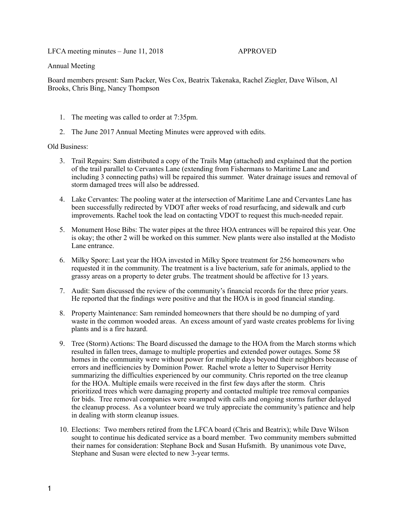LFCA meeting minutes – June 11, 2018 APPROVED

Annual Meeting

Board members present: Sam Packer, Wes Cox, Beatrix Takenaka, Rachel Ziegler, Dave Wilson, Al Brooks, Chris Bing, Nancy Thompson

- 1. The meeting was called to order at 7:35pm.
- 2. The June 2017 Annual Meeting Minutes were approved with edits.

## Old Business:

- 3. Trail Repairs: Sam distributed a copy of the Trails Map (attached) and explained that the portion of the trail parallel to Cervantes Lane (extending from Fishermans to Maritime Lane and including 3 connecting paths) will be repaired this summer. Water drainage issues and removal of storm damaged trees will also be addressed.
- 4. Lake Cervantes: The pooling water at the intersection of Maritime Lane and Cervantes Lane has been successfully redirected by VDOT after weeks of road resurfacing, and sidewalk and curb improvements. Rachel took the lead on contacting VDOT to request this much-needed repair.
- 5. Monument Hose Bibs: The water pipes at the three HOA entrances will be repaired this year. One is okay; the other 2 will be worked on this summer. New plants were also installed at the Modisto Lane entrance.
- 6. Milky Spore: Last year the HOA invested in Milky Spore treatment for 256 homeowners who requested it in the community. The treatment is a live bacterium, safe for animals, applied to the grassy areas on a property to deter grubs. The treatment should be affective for 13 years.
- 7. Audit: Sam discussed the review of the community's financial records for the three prior years. He reported that the findings were positive and that the HOA is in good financial standing.
- 8. Property Maintenance: Sam reminded homeowners that there should be no dumping of yard waste in the common wooded areas. An excess amount of yard waste creates problems for living plants and is a fire hazard.
- 9. Tree (Storm) Actions: The Board discussed the damage to the HOA from the March storms which resulted in fallen trees, damage to multiple properties and extended power outages. Some 58 homes in the community were without power for multiple days beyond their neighbors because of errors and inefficiencies by Dominion Power. Rachel wrote a letter to Supervisor Herrity summarizing the difficulties experienced by our community. Chris reported on the tree cleanup for the HOA. Multiple emails were received in the first few days after the storm. Chris prioritized trees which were damaging property and contacted multiple tree removal companies for bids. Tree removal companies were swamped with calls and ongoing storms further delayed the cleanup process. As a volunteer board we truly appreciate the community's patience and help in dealing with storm cleanup issues.
- 10. Elections: Two members retired from the LFCA board (Chris and Beatrix); while Dave Wilson sought to continue his dedicated service as a board member. Two community members submitted their names for consideration: Stephane Bock and Susan Hufsmith. By unanimous vote Dave, Stephane and Susan were elected to new 3-year terms.